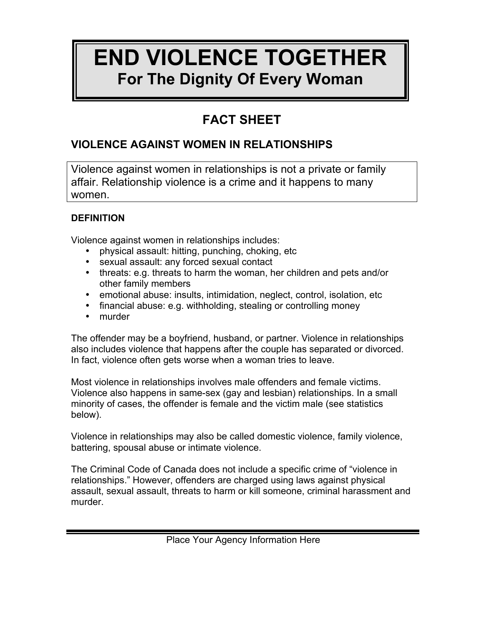# **END VIOLENCE TOGETHER For The Dignity Of Every Woman**

# **FACT SHEET**

## **VIOLENCE AGAINST WOMEN IN RELATIONSHIPS**

Violence against women in relationships is not a private or family affair. Relationship violence is a crime and it happens to many women.

### **DEFINITION**

Violence against women in relationships includes:

- physical assault: hitting, punching, choking, etc
- sexual assault: any forced sexual contact
- threats: e.g. threats to harm the woman, her children and pets and/or other family members
- emotional abuse: insults, intimidation, neglect, control, isolation, etc
- financial abuse: e.g. withholding, stealing or controlling money
- murder

The offender may be a boyfriend, husband, or partner. Violence in relationships also includes violence that happens after the couple has separated or divorced. In fact, violence often gets worse when a woman tries to leave.

Most violence in relationships involves male offenders and female victims. Violence also happens in same-sex (gay and lesbian) relationships. In a small minority of cases, the offender is female and the victim male (see statistics below).

Violence in relationships may also be called domestic violence, family violence, battering, spousal abuse or intimate violence.

The Criminal Code of Canada does not include a specific crime of "violence in relationships." However, offenders are charged using laws against physical assault, sexual assault, threats to harm or kill someone, criminal harassment and murder.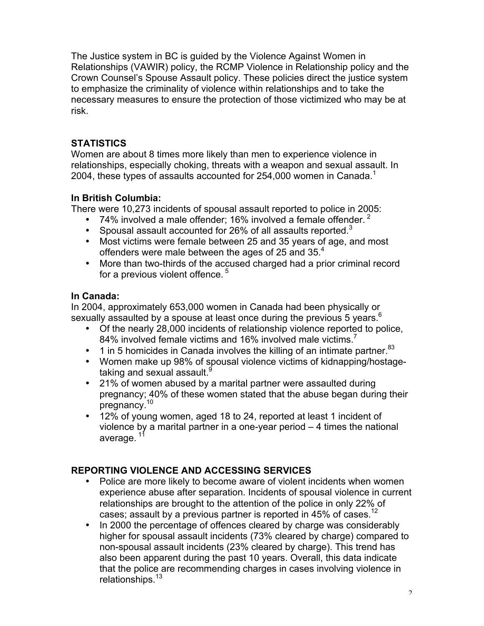The Justice system in BC is guided by the Violence Against Women in Relationships (VAWIR) policy, the RCMP Violence in Relationship policy and the Crown Counsel's Spouse Assault policy. These policies direct the justice system to emphasize the criminality of violence within relationships and to take the necessary measures to ensure the protection of those victimized who may be at risk.

#### **STATISTICS**

Women are about 8 times more likely than men to experience violence in relationships, especially choking, threats with a weapon and sexual assault. In 2004, these types of assaults accounted for 254,000 women in Canada.<sup>1</sup>

#### **In British Columbia:**

There were 10,273 incidents of spousal assault reported to police in 2005:

- 74% involved a male offender; 16% involved a female offender.  $2^2$
- Spousal assault accounted for 26% of all assaults reported.<sup>3</sup>
- Most victims were female between 25 and 35 years of age, and most offenders were male between the ages of 25 and 35.<sup>4</sup>
- More than two-thirds of the accused charged had a prior criminal record for a previous violent offence.<sup>5</sup>

#### **In Canada:**

In 2004, approximately 653,000 women in Canada had been physically or sexually assaulted by a spouse at least once during the previous 5 years.<sup>6</sup>

- Of the nearly 28,000 incidents of relationship violence reported to police, 84% involved female victims and 16% involved male victims.<sup>7</sup>
- 1 in 5 homicides in Canada involves the killing of an intimate partner.  $83$
- Women make up 98% of spousal violence victims of kidnapping/hostagetaking and sexual assault.<sup>9</sup>
- 21% of women abused by a marital partner were assaulted during pregnancy; 40% of these women stated that the abuse began during their pregnancy.10
- 12% of young women, aged 18 to 24, reported at least 1 incident of violence by a marital partner in a one-year period – 4 times the national average.<sup>11</sup>

#### **REPORTING VIOLENCE AND ACCESSING SERVICES**

- Police are more likely to become aware of violent incidents when women experience abuse after separation. Incidents of spousal violence in current relationships are brought to the attention of the police in only 22% of cases; assault by a previous partner is reported in 45% of cases.<sup>12</sup>
- In 2000 the percentage of offences cleared by charge was considerably higher for spousal assault incidents (73% cleared by charge) compared to non-spousal assault incidents (23% cleared by charge). This trend has also been apparent during the past 10 years. Overall, this data indicate that the police are recommending charges in cases involving violence in relationships.<sup>13</sup>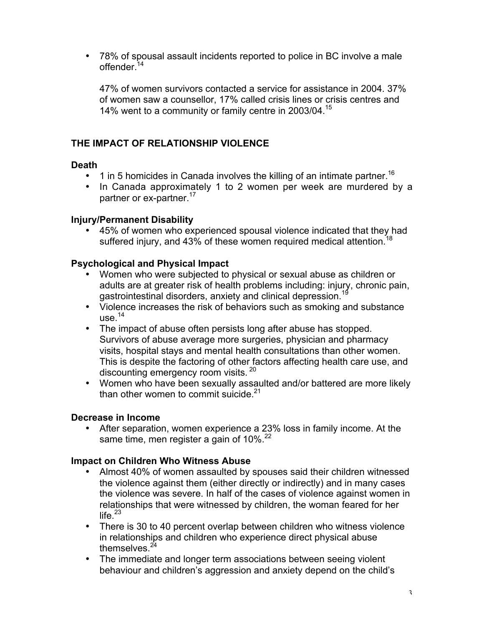• 78% of spousal assault incidents reported to police in BC involve a male offender<sup>14</sup>

47% of women survivors contacted a service for assistance in 2004. 37% of women saw a counsellor, 17% called crisis lines or crisis centres and 14% went to a community or family centre in 2003/04.15

#### **THE IMPACT OF RELATIONSHIP VIOLENCE**

#### **Death**

- 1 in 5 homicides in Canada involves the killing of an intimate partner.<sup>16</sup>
- In Canada approximately 1 to 2 women per week are murdered by a partner or ex-partner.<sup>17</sup>

#### **Injury/Permanent Disability**

• 45% of women who experienced spousal violence indicated that they had suffered injury, and 43% of these women required medical attention.<sup>18</sup>

#### **Psychological and Physical Impact**

- Women who were subjected to physical or sexual abuse as children or adults are at greater risk of health problems including: injury, chronic pain, gastrointestinal disorders, anxiety and clinical depression.<sup>19</sup>
- Violence increases the risk of behaviors such as smoking and substance use. $14$
- The impact of abuse often persists long after abuse has stopped. Survivors of abuse average more surgeries, physician and pharmacy visits, hospital stays and mental health consultations than other women. This is despite the factoring of other factors affecting health care use, and discounting emergency room visits. <sup>20</sup>
- Women who have been sexually assaulted and/or battered are more likely than other women to commit suicide. $21$

#### **Decrease in Income**

• After separation, women experience a 23% loss in family income. At the same time, men register a gain of 10%.<sup>22</sup>

#### **Impact on Children Who Witness Abuse**

- Almost 40% of women assaulted by spouses said their children witnessed the violence against them (either directly or indirectly) and in many cases the violence was severe. In half of the cases of violence against women in relationships that were witnessed by children, the woman feared for her life. $^{23}$
- There is 30 to 40 percent overlap between children who witness violence in relationships and children who experience direct physical abuse themselves. $24$
- The immediate and longer term associations between seeing violent behaviour and children's aggression and anxiety depend on the child's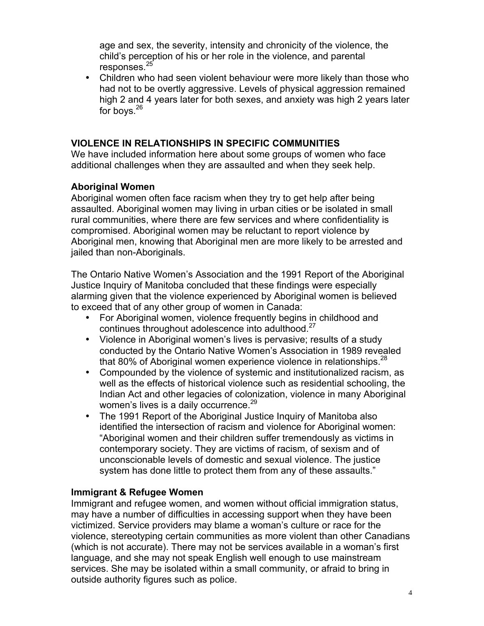age and sex, the severity, intensity and chronicity of the violence, the child's perception of his or her role in the violence, and parental responses.<sup>25</sup>

• Children who had seen violent behaviour were more likely than those who had not to be overtly aggressive. Levels of physical aggression remained high 2 and 4 years later for both sexes, and anxiety was high 2 years later for boys. $26$ 

#### **VIOLENCE IN RELATIONSHIPS IN SPECIFIC COMMUNITIES**

We have included information here about some groups of women who face additional challenges when they are assaulted and when they seek help.

#### **Aboriginal Women**

Aboriginal women often face racism when they try to get help after being assaulted. Aboriginal women may living in urban cities or be isolated in small rural communities, where there are few services and where confidentiality is compromised. Aboriginal women may be reluctant to report violence by Aboriginal men, knowing that Aboriginal men are more likely to be arrested and jailed than non-Aboriginals.

The Ontario Native Women's Association and the 1991 Report of the Aboriginal Justice Inquiry of Manitoba concluded that these findings were especially alarming given that the violence experienced by Aboriginal women is believed to exceed that of any other group of women in Canada:

- For Aboriginal women, violence frequently begins in childhood and continues throughout adolescence into adulthood.<sup>27</sup>
- Violence in Aboriginal women's lives is pervasive; results of a study conducted by the Ontario Native Women's Association in 1989 revealed that 80% of Aboriginal women experience violence in relationships. $^{28}$
- Compounded by the violence of systemic and institutionalized racism, as well as the effects of historical violence such as residential schooling, the Indian Act and other legacies of colonization, violence in many Aboriginal women's lives is a daily occurrence.<sup>29</sup>
- The 1991 Report of the Aboriginal Justice Inquiry of Manitoba also identified the intersection of racism and violence for Aboriginal women: "Aboriginal women and their children suffer tremendously as victims in contemporary society. They are victims of racism, of sexism and of unconscionable levels of domestic and sexual violence. The justice system has done little to protect them from any of these assaults."

#### **Immigrant & Refugee Women**

Immigrant and refugee women, and women without official immigration status, may have a number of difficulties in accessing support when they have been victimized. Service providers may blame a woman's culture or race for the violence, stereotyping certain communities as more violent than other Canadians (which is not accurate). There may not be services available in a woman's first language, and she may not speak English well enough to use mainstream services. She may be isolated within a small community, or afraid to bring in outside authority figures such as police.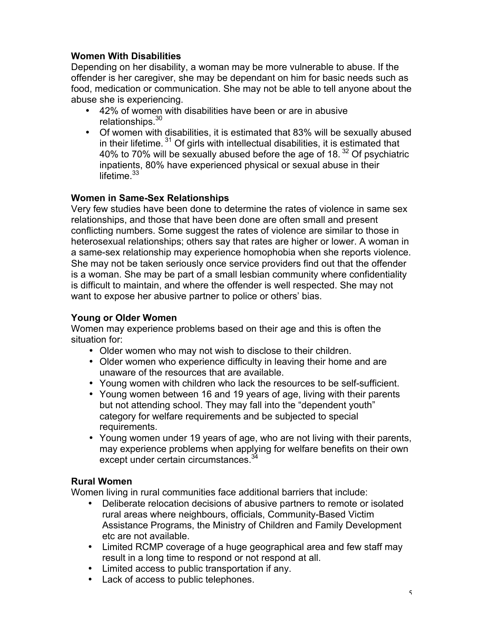#### **Women With Disabilities**

Depending on her disability, a woman may be more vulnerable to abuse. If the offender is her caregiver, she may be dependant on him for basic needs such as food, medication or communication. She may not be able to tell anyone about the abuse she is experiencing.

- 42% of women with disabilities have been or are in abusive relationships.<sup>30</sup>
- Of women with disabilities, it is estimated that 83% will be sexually abused in their lifetime.<sup>31</sup> Of girls with intellectual disabilities, it is estimated that 40% to 70% will be sexually abused before the age of 18. $32$  Of psychiatric inpatients, 80% have experienced physical or sexual abuse in their lifetime. $33$

#### **Women in Same-Sex Relationships**

Very few studies have been done to determine the rates of violence in same sex relationships, and those that have been done are often small and present conflicting numbers. Some suggest the rates of violence are similar to those in heterosexual relationships; others say that rates are higher or lower. A woman in a same-sex relationship may experience homophobia when she reports violence. She may not be taken seriously once service providers find out that the offender is a woman. She may be part of a small lesbian community where confidentiality is difficult to maintain, and where the offender is well respected. She may not want to expose her abusive partner to police or others' bias.

#### **Young or Older Women**

Women may experience problems based on their age and this is often the situation for:

- Older women who may not wish to disclose to their children.
- Older women who experience difficulty in leaving their home and are unaware of the resources that are available.
- Young women with children who lack the resources to be self-sufficient.
- Young women between 16 and 19 years of age, living with their parents but not attending school. They may fall into the "dependent youth" category for welfare requirements and be subjected to special requirements.
- Young women under 19 years of age, who are not living with their parents, may experience problems when applying for welfare benefits on their own except under certain circumstances.<sup>34</sup>

#### **Rural Women**

Women living in rural communities face additional barriers that include:

- Deliberate relocation decisions of abusive partners to remote or isolated rural areas where neighbours, officials, Community-Based Victim Assistance Programs, the Ministry of Children and Family Development etc are not available.
- Limited RCMP coverage of a huge geographical area and few staff may result in a long time to respond or not respond at all.
- Limited access to public transportation if any.
- Lack of access to public telephones.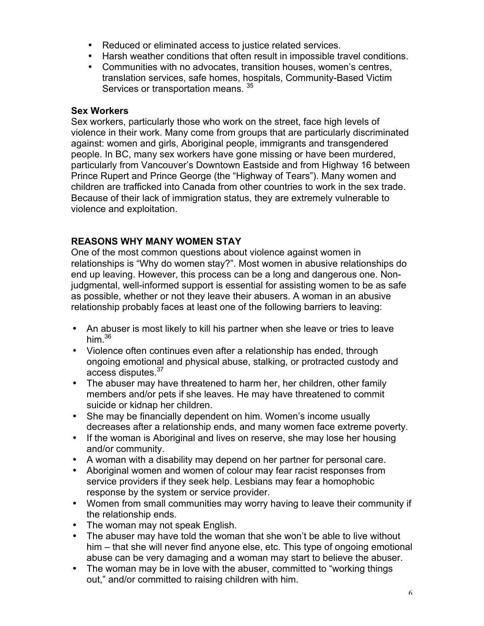- Reduced or eliminated access to justice related services.
- Harsh weather conditions that often result in impossible travel conditions.
- Communities with no advocates, transition houses, women's centres, translation services, safe homes, hospitals, Community-Based Victim Services or transportation means.  $35$

#### **Sex Workers**

Sex workers, particularly those who work on the street, face high levels of violence in their work. Many come from groups that are particularly discriminated against: women and girls, Aboriginal people, immigrants and transgendered people. In BC, many sex workers have gone missing or have been murdered, particularly from Vancouver's Downtown Eastside and from Highway 16 between Prince Rupert and Prince George (the "Highway of Tears"). Many women and children are trafficked into Canada from other countries to work in the sex trade. Because of their lack of immigration status, they are extremely vulnerable to violence and exploitation.

#### **REASONS WHY MANY WOMEN STAY**

One of the most common questions about violence against women in relationships is "Why do women stay?". Most women in abusive relationships do end up leaving. However, this process can be a long and dangerous one. Nonjudgmental, well-informed support is essential for assisting women to be as safe as possible, whether or not they leave their abusers. A woman in an abusive relationship probably faces at least one of the following barriers to leaving:

- An abuser is most likely to kill his partner when she leave or tries to leave him. $36$
- Violence often continues even after a relationship has ended, through ongoing emotional and physical abuse, stalking, or protracted custody and access disputes.<sup>37</sup>
- The abuser may have threatened to harm her, her children, other family members and/or pets if she leaves. He may have threatened to commit suicide or kidnap her children.
- She may be financially dependent on him. Women's income usually decreases after a relationship ends, and many women face extreme poverty.
- If the woman is Aboriginal and lives on reserve, she may lose her housing and/or community.
- A woman with a disability may depend on her partner for personal care.
- Aboriginal women and women of colour may fear racist responses from service providers if they seek help. Lesbians may fear a homophobic response by the system or service provider.
- Women from small communities may worry having to leave their community if the relationship ends.
- The woman may not speak English.
- The abuser may have told the woman that she won't be able to live without him – that she will never find anyone else, etc. This type of ongoing emotional abuse can be very damaging and a woman may start to believe the abuser.
- The woman may be in love with the abuser, committed to "working things" out," and/or committed to raising children with him.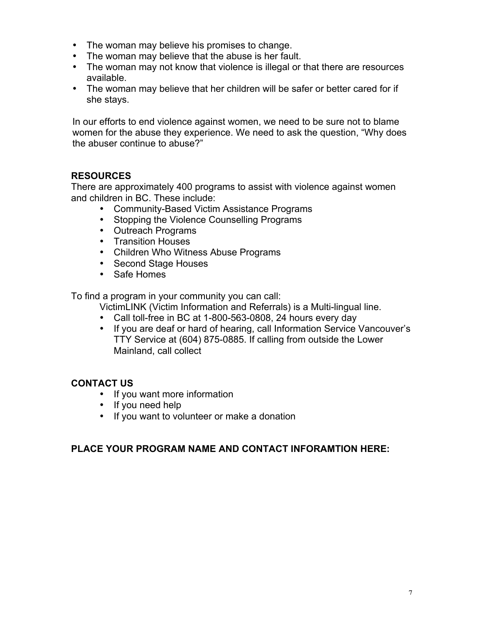- The woman may believe his promises to change.
- The woman may believe that the abuse is her fault.
- The woman may not know that violence is illegal or that there are resources available.
- The woman may believe that her children will be safer or better cared for if she stays.

In our efforts to end violence against women, we need to be sure not to blame women for the abuse they experience. We need to ask the question, "Why does the abuser continue to abuse?"

#### **RESOURCES**

There are approximately 400 programs to assist with violence against women and children in BC. These include:

- Community-Based Victim Assistance Programs
- Stopping the Violence Counselling Programs
- Outreach Programs
- Transition Houses
- Children Who Witness Abuse Programs
- Second Stage Houses
- Safe Homes

To find a program in your community you can call:

- VictimLINK (Victim Information and Referrals) is a Multi-lingual line.
- Call toll-free in BC at 1-800-563-0808, 24 hours every day
- If you are deaf or hard of hearing, call Information Service Vancouver's TTY Service at (604) 875-0885. If calling from outside the Lower Mainland, call collect

#### **CONTACT US**

- If you want more information
- If you need help
- If you want to volunteer or make a donation

#### **PLACE YOUR PROGRAM NAME AND CONTACT INFORAMTION HERE:**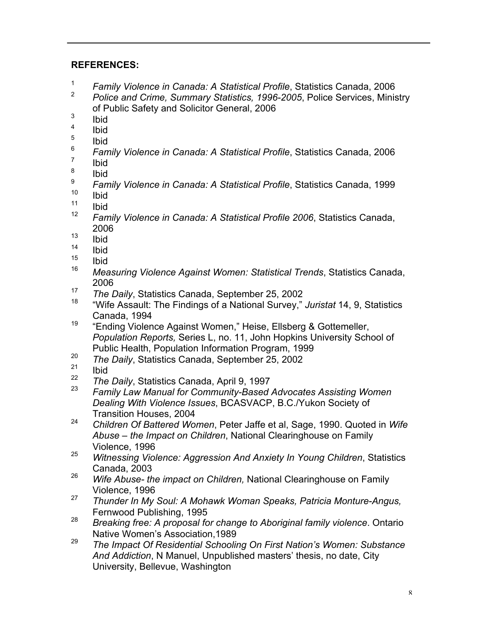#### **REFERENCES:**

- <sup>1</sup> *Family Violence in Canada: A Statistical Profile*, Statistics Canada, 2006
- <sup>2</sup> *Police and Crime, Summary Statistics, 1996-2005*, Police Services, Ministry of Public Safety and Solicitor General, 2006
- $\frac{3}{4}$  Ibid
- $\frac{4}{5}$  Ibid
- $\frac{5}{6}$  Ibid
- <sup>6</sup> *Family Violence in Canada: A Statistical Profile*, Statistics Canada, 2006
- $\frac{7}{8}$  Ibid
- $\frac{8}{9}$  Ibid
- <sup>9</sup> *Family Violence in Canada: A Statistical Profile*, Statistics Canada, 1999
- $\frac{10}{11}$  Ibid
- $\frac{11}{12}$  Ibid
- <sup>12</sup> *Family Violence in Canada: A Statistical Profile 2006*, Statistics Canada, 2006
- $\frac{13}{14}$  Ibid
- $\frac{14}{15}$  Ibid
- $\frac{15}{16}$  Ibid
- <sup>16</sup> *Measuring Violence Against Women: Statistical Trends*, Statistics Canada, 2006
- <sup>17</sup> *The Daily*, Statistics Canada, September 25, 2002
- <sup>18</sup> "Wife Assault: The Findings of a National Survey," *Juristat* 14, 9, Statistics Canada, 1994
- <sup>19</sup> "Ending Violence Against Women," Heise, Ellsberg & Gottemeller, *Population Reports,* Series L, no. 11, John Hopkins University School of Public Health, Population Information Program, 1999
- <sup>20</sup> *The Daily*, Statistics Canada, September 25, 2002
- $rac{21}{22}$  Ibid
- <sup>22</sup> *The Daily*, Statistics Canada, April 9, 1997
- <sup>23</sup> *Family Law Manual for Community-Based Advocates Assisting Women Dealing With Violence Issues*, BCASVACP, B.C./Yukon Society of Transition Houses, 2004
- <sup>24</sup> *Children Of Battered Women*, Peter Jaffe et al, Sage, 1990. Quoted in *Wife Abuse* – *the Impact on Children*, National Clearinghouse on Family Violence, 1996
- <sup>25</sup> *Witnessing Violence: Aggression And Anxiety In Young Children*, Statistics Canada, 2003
- <sup>26</sup> *Wife Abuse- the impact on Children,* National Clearinghouse on Family Violence, 1996
- <sup>27</sup> *Thunder In My Soul: A Mohawk Woman Speaks, Patricia Monture-Angus,*
- Fernwood Publishing, 1995 <sup>28</sup> *Breaking free: A proposal for change to Aboriginal family violence*. Ontario Native Women's Association,1989
- <sup>29</sup> *The Impact Of Residential Schooling On First Nation's Women: Substance And Addiction*, N Manuel, Unpublished masters' thesis, no date, City University, Bellevue, Washington